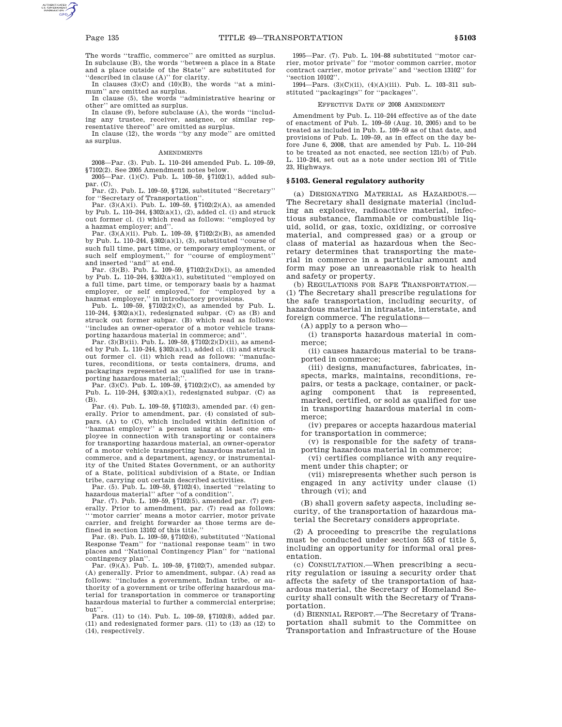The words ''traffic, commerce'' are omitted as surplus. In subclause (B), the words ''between a place in a State and a place outside of the State'' are substituted for ''described in clause (A)'' for clarity.

In clauses  $(3)(C)$  and  $(10)(B)$ , the words "at a minimum'' are omitted as surplus.

In clause (5), the words ''administrative hearing or other'' are omitted as surplus.

In clause (9), before subclause (A), the words ''including any trustee, receiver, assignee, or similar rep-

resentative thereof'' are omitted as surplus. In clause (12), the words ''by any mode'' are omitted as surplus.

#### **AMENDMENTS**

2008—Par. (3). Pub. L. 110–244 amended Pub. L. 109–59, §7102(2). See 2005 Amendment notes below.

2005—Par. (1)(C). Pub. L. 109–59, §7102(1), added subpar. (C).

Par. (2). Pub. L. 109–59, §7126, substituted ''Secretary'' for "Secretary of Transportation

Par. (3)(A)(i). Pub. L. 109–59, §7102(2)(A), as amended by Pub. L. 110–244,  $\S\,302(a)(1),$  (2), added cl. (i) and struck out former cl. (i) which read as follows: ''employed by a hazmat employer; and''.

Par. (3)(A)(ii). Pub. L. 109–59, §7102(2)(B), as amended by Pub. L. 110–244, §302(a)(1), (3), substituted ''course of such full time, part time, or temporary employment, or such self employment,'' for ''course of employment''

and inserted ''and'' at end. Par. (3)(B). Pub. L. 109–59, §7102(2)(D)(i), as amended by Pub. L. 110–244,  $\S\,302(a)(1),$  substituted ''employed on a full time, part time, or temporary basis by a hazmat employer, or self employed,'' for ''employed by a hazmat employer,'' in introductory provisions. Pub. L. 109–59, §7102(2)(C), as amended by Pub. L.

110–244,  $§ 302(a)(1)$ , redesignated subpar. (C) as (B) and struck out former subpar. (B) which read as follows: ''includes an owner-operator of a motor vehicle transporting hazardous material in commerce; and''.

Par. (3)(B)(ii). Pub. L. 109–59, §7102(2)(D)(ii), as amended by Pub. L. 110–244, §302(a)(1), added cl. (ii) and struck out former cl. (ii) which read as follows: ''manufactures, reconditions, or tests containers, drums, and packagings represented as qualified for use in transporting hazardous material;''.

Par. (3)(C). Pub. L. 109–59, §7102(2)(C), as amended by Pub. L. 110–244, §302(a)(1), redesignated subpar. (C) as (B).

Par. (4). Pub. L. 109–59, §7102(3), amended par. (4) generally. Prior to amendment, par. (4) consisted of subpars. (A) to (C), which included within definition of ''hazmat employer'' a person using at least one employee in connection with transporting or containers for transporting hazardous material, an owner-operator of a motor vehicle transporting hazardous material in commerce, and a department, agency, or instrumentality of the United States Government, or an authority of a State, political subdivision of a State, or Indian tribe, carrying out certain described activities.

Par. (5). Pub. L. 109–59, §7102(4), inserted ''relating to hazardous material'' after ''of a condition''.

Par. (7). Pub. L. 109–59, §7102(5), amended par. (7) generally. Prior to amendment, par. (7) read as follows: '''motor carrier' means a motor carrier, motor private carrier, and freight forwarder as those terms are defined in section 13102 of this title.''

Par. (8). Pub. L. 109–59, §7102(6), substituted ''National Response Team'' for ''national response team'' in two places and ''National Contingency Plan'' for ''national contingency plan''.

Par. (9)(A). Pub. L. 109–59, §7102(7), amended subpar. (A) generally. Prior to amendment, subpar. (A) read as follows: ''includes a government, Indian tribe, or authority of a government or tribe offering hazardous material for transportation in commerce or transporting hazardous material to further a commercial enterprise; but''.

Pars. (11) to (14). Pub. L. 109–59, §7102(8), added par. (11) and redesignated former pars. (11) to (13) as (12) to (14), respectively.

1995—Par. (7). Pub. L. 104–88 substituted ''motor carrier, motor private'' for ''motor common carrier, motor contract carrier, motor private'' and ''section 13102'' for ''section 10102''.

1994—Pars. (3)(C)(ii), (4)(A)(iii). Pub. L. 103–311 substituted ''packagings'' for ''packages''.

# EFFECTIVE DATE OF 2008 AMENDMENT

Amendment by Pub. L. 110–244 effective as of the date of enactment of Pub. L. 109–59 (Aug. 10, 2005) and to be treated as included in Pub. L. 109–59 as of that date, and provisions of Pub. L. 109–59, as in effect on the day before June 6, 2008, that are amended by Pub. L. 110–244 to be treated as not enacted, see section 121(b) of Pub. L. 110–244, set out as a note under section 101 of Title 23, Highways.

# **§ 5103. General regulatory authority**

(a) DESIGNATING MATERIAL AS HAZARDOUS.— The Secretary shall designate material (including an explosive, radioactive material, infectious substance, flammable or combustible liquid, solid, or gas, toxic, oxidizing, or corrosive material, and compressed gas) or a group or class of material as hazardous when the Secretary determines that transporting the material in commerce in a particular amount and form may pose an unreasonable risk to health and safety or property.

(b) REGULATIONS FOR SAFE TRANSPORTATION.— (1) The Secretary shall prescribe regulations for the safe transportation, including security, of hazardous material in intrastate, interstate, and foreign commerce. The regulations—

(A) apply to a person who—

(i) transports hazardous material in commerce;

(ii) causes hazardous material to be transported in commerce;

(iii) designs, manufactures, fabricates, inspects, marks, maintains, reconditions, repairs, or tests a package, container, or packaging component that is represented, marked, certified, or sold as qualified for use in transporting hazardous material in commerce;

(iv) prepares or accepts hazardous material for transportation in commerce;

(v) is responsible for the safety of transporting hazardous material in commerce;

(vi) certifies compliance with any requirement under this chapter; or

(vii) misrepresents whether such person is engaged in any activity under clause (i) through (vi); and

(B) shall govern safety aspects, including security, of the transportation of hazardous material the Secretary considers appropriate.

(2) A proceeding to prescribe the regulations must be conducted under section 553 of title 5, including an opportunity for informal oral presentation.

(c) CONSULTATION.—When prescribing a security regulation or issuing a security order that affects the safety of the transportation of hazardous material, the Secretary of Homeland Security shall consult with the Secretary of Transportation.

(d) BIENNIAL REPORT.—The Secretary of Transportation shall submit to the Committee on Transportation and Infrastructure of the House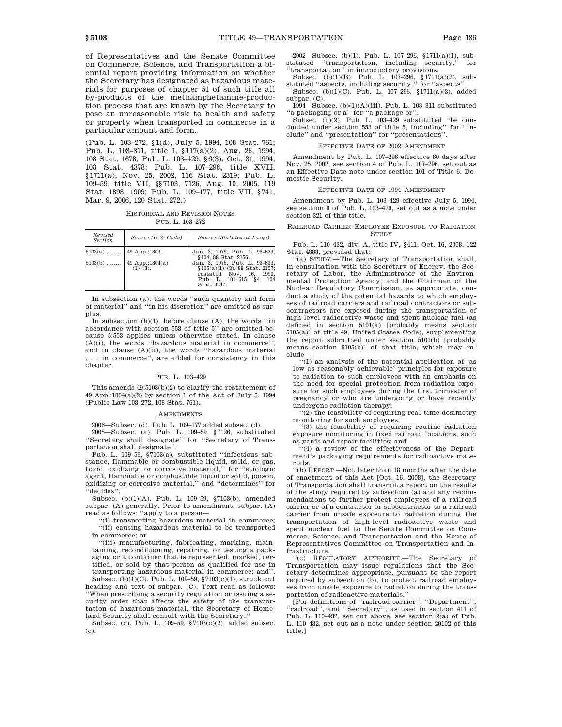of Representatives and the Senate Committee on Commerce, Science, and Transportation a biennial report providing information on whether the Secretary has designated as hazardous materials for purposes of chapter 51 of such title all by-products of the methamphetamine-production process that are known by the Secretary to pose an unreasonable risk to health and safety or property when transported in commerce in a particular amount and form.

(Pub. L. 103–272, §1(d), July 5, 1994, 108 Stat. 761; Pub. L. 103–311, title I, §117(a)(2), Aug. 26, 1994, 108 Stat. 1678; Pub. L. 103–429, §6(3), Oct. 31, 1994, 108 Stat. 4378; Pub. L. 107–296, title XVII, §1711(a), Nov. 25, 2002, 116 Stat. 2319; Pub. L. 109–59, title VII, §§7103, 7126, Aug. 10, 2005, 119 Stat. 1893, 1909; Pub. L. 109–177, title VII, §741, Mar. 9, 2006, 120 Stat. 272.)

HISTORICAL AND REVISION NOTES PUB. L. 103-272

| Revised<br>Section | Source (U.S. Code)                                                       | Source (Statutes at Large)                                                                                                                                                                               |
|--------------------|--------------------------------------------------------------------------|----------------------------------------------------------------------------------------------------------------------------------------------------------------------------------------------------------|
|                    | $5103(a)$   49 App.:1803.<br>5103(b)  49 App.:1804(a)<br>$(1)$ – $(3)$ . | Jan. 3, 1975, Pub. L. 93-633,<br>§104.88 Stat. 2156.<br>Jan. 3, 1975, Pub. L. 93-633,<br>$$105(a)(1)–(3), 88 \text{ Stat. } 2157;$<br>restated Nov. 16, 1990.<br>Pub. L. 101-615, §4, 104<br>Stat. 3247. |

In subsection (a), the words ''such quantity and form of material'' and ''in his discretion'' are omitted as surplus.

In subsection (b)(1), before clause (A), the words ''in accordance with section 553 of title 5'' are omitted because 5:553 applies unless otherwise stated. In clause (A)(i), the words ''hazardous material in commerce'', and in clause (A)(ii), the words ''hazardous material . . . in commerce'', are added for consistency in this chapter.

### PUB. L. 103–429

This amends 49:5103(b)(2) to clarify the restatement of 49 App.:1804(a)(2) by section 1 of the Act of July 5, 1994 (Public Law 103–272, 108 Stat. 761).

#### **AMENDMENTS**

2006—Subsec. (d). Pub. L. 109–177 added subsec. (d).

2005—Subsec. (a). Pub. L. 109–59, §7126, substituted ''Secretary shall designate'' for ''Secretary of Transportation shall designate''.

Pub. L. 109-59, §7103(a), substituted "infectious substance, flammable or combustible liquid, solid, or gas, toxic, oxidizing, or corrosive material,'' for ''etiologic agent, flammable or combustible liquid or solid, poison, oxidizing or corrosive material,'' and ''determines'' for ''decides''.

Subsec. (b)(1)(A). Pub. L. 109–59, §7103(b), amended subpar. (A) generally. Prior to amendment, subpar. (A) read as follows: ''apply to a person—

''(i) transporting hazardous material in commerce; ''(ii) causing hazardous material to be transported in commerce; or

''(iii) manufacturing, fabricating, marking, maintaining, reconditioning, repairing, or testing a packaging or a container that is represented, marked, certified, or sold by that person as qualified for use in transporting hazardous material in commerce; and''.

Subsec. (b)(1)(C). Pub. L. 109–59, §7103(c)(1), struck out heading and text of subpar. (C). Text read as follows: ''When prescribing a security regulation or issuing a security order that affects the safety of the transportation of hazardous material, the Secretary of Homeland Security shall consult with the Secretary.

Subsec. (c). Pub. L. 109–59, §7103(c)(2), added subsec. (c).

2002—Subsec. (b)(1). Pub. L. 107–296, §1711(a)(1), substituted ''transportation, including security,'' for ''transportation'' in introductory provisions.

Subsec. (b)(1)(B). Pub. L. 107–296, §1711(a)(2), substituted ''aspects, including security,'' for ''aspects''.

Subsec. (b)(1)(C). Pub. L. 107–296, §1711(a)(3), added subpar. (C).

1994—Subsec. (b)(1)(A)(iii). Pub. L. 103–311 substituted ''a packaging or a'' for ''a package or''. Subsec. (b)(2). Pub. L. 103–429 substituted ''be con-

ducted under section 553 of title 5, including'' for ''include'' and ''presentation'' for ''presentations''.

## EFFECTIVE DATE OF 2002 AMENDMENT

Amendment by Pub. L. 107–296 effective 60 days after Nov. 25, 2002, see section 4 of Pub. L. 107–296, set out as an Effective Date note under section 101 of Title 6, Domestic Security.

## EFFECTIVE DATE OF 1994 AMENDMENT

Amendment by Pub. L. 103–429 effective July 5, 1994, see section 9 of Pub. L. 103–429, set out as a note under section 321 of this title.

### RAILROAD CARRIER EMPLOYEE EXPOSURE TO RADIATION **STUDY**

Pub. L. 110–432, div. A, title IV, §411, Oct. 16, 2008, 122 Stat. 4888, provided that:

''(a) STUDY.—The Secretary of Transportation shall, in consultation with the Secretary of Energy, the Secretary of Labor, the Administrator of the Environmental Protection Agency, and the Chairman of the Nuclear Regulatory Commission, as appropriate, conduct a study of the potential hazards to which employees of railroad carriers and railroad contractors or subcontractors are exposed during the transportation of high-level radioactive waste and spent nuclear fuel (as defined in section 5101(a) [probably means section 5105(a)] of title 49, United States Code), supplementing the report submitted under section 5101(b) [probably means section 5105(b)] of that title, which may include—

''(1) an analysis of the potential application of 'as low as reasonably achievable' principles for exposure to radiation to such employees with an emphasis on the need for special protection from radiation exposure for such employees during the first trimester of pregnancy or who are undergoing or have recently undergone radiation therapy;

''(2) the feasibility of requiring real-time dosimetry monitoring for such employees;

''(3) the feasibility of requiring routine radiation exposure monitoring in fixed railroad locations, such as yards and repair facilities; and

''(4) a review of the effectiveness of the Department's packaging requirements for radioactive materials.

'(b) REPORT.—Not later than 18 months after the date of enactment of this Act [Oct. 16, 2008], the Secretary of Transportation shall transmit a report on the results of the study required by subsection (a) and any recommendations to further protect employees of a railroad carrier or of a contractor or subcontractor to a railroad carrier from unsafe exposure to radiation during the transportation of high-level radioactive waste and spent nuclear fuel to the Senate Committee on Commerce, Science, and Transportation and the House of Representatives Committee on Transportation and Infrastructure.

''(c) REGULATORY AUTHORITY.—The Secretary of Transportation may issue regulations that the Secretary determines appropriate, pursuant to the report required by subsection (b), to protect railroad employees from unsafe exposure to radiation during the transportation of radioactive materials.''

[For definitions of ''railroad carrier'', ''Department'', 'railroad'', and "Secretary", as used in section 411 of Pub. L. 110–432, set out above, see section 2(a) of Pub. L. 110–432, set out as a note under section 20102 of this title.]